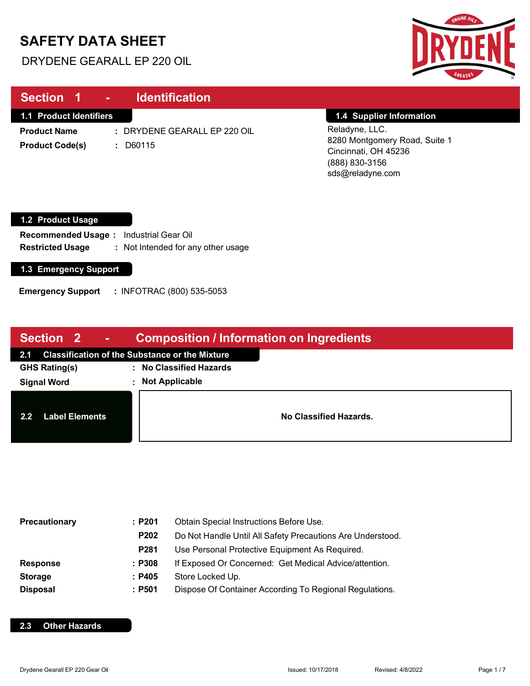# **SAFETY DATA SHEET**

I

I

DRYDENE GEARALL EP 220 OIL



| Section 1<br><b>Contract Contract</b>                | <b>Identification</b>                                            |                                                                                                               |
|------------------------------------------------------|------------------------------------------------------------------|---------------------------------------------------------------------------------------------------------------|
| <b>1.1 Product Identifiers</b>                       |                                                                  | 1.4 Supplier Information                                                                                      |
| <b>Product Name</b><br><b>Product Code(s)</b>        | : DRYDENE GEARALL EP 220 OIL<br>$: $ D60115                      | Reladyne, LLC.<br>8280 Montgomery Road, Suite 1<br>Cincinnati, OH 45236<br>(888) 830-3156<br>sds@reladyne.com |
| 1.2 Product Usage                                    |                                                                  |                                                                                                               |
| <b>Recommended Usage:</b><br><b>Restricted Usage</b> | <b>Industrial Gear Oil</b><br>: Not Intended for any other usage |                                                                                                               |
| 1.3 Emergency Support                                |                                                                  |                                                                                                               |
| <b>Emergency Support</b>                             | : INFOTRAC (800) 535-5053                                        |                                                                                                               |

| Section 2 -                                        | <b>Composition / Information on Ingredients</b> |  |  |
|----------------------------------------------------|-------------------------------------------------|--|--|
| 2.1 Classification of the Substance or the Mixture |                                                 |  |  |
| <b>GHS Rating(s)</b>                               | : No Classified Hazards                         |  |  |
| <b>Signal Word</b>                                 | <b>Not Applicable</b>                           |  |  |
| 2.2<br><b>Label Elements</b>                       | No Classified Hazards.                          |  |  |

| <b>Precautionary</b> | :P201            | Obtain Special Instructions Before Use.                    |  |
|----------------------|------------------|------------------------------------------------------------|--|
|                      | P202             | Do Not Handle Until All Safety Precautions Are Understood. |  |
|                      | P <sub>281</sub> | Use Personal Protective Equipment As Required.             |  |
| <b>Response</b>      | : P308           | If Exposed Or Concerned: Get Medical Advice/attention.     |  |
| <b>Storage</b>       | : P405           | Store Locked Up.                                           |  |
| <b>Disposal</b>      | : P501           | Dispose Of Container According To Regional Regulations.    |  |

### **2.3 Other Hazards**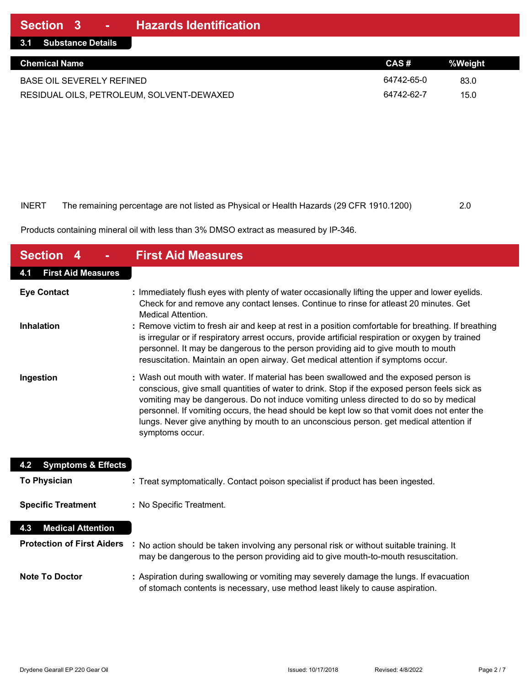| 3.1 Substance Details                     |            |         |
|-------------------------------------------|------------|---------|
| <b>Chemical Name</b>                      | CAS#       | %Weight |
| <b>BASE OIL SEVERELY REFINED</b>          | 64742-65-0 | 83.0    |
| RESIDUAL OILS, PETROLEUM, SOLVENT-DEWAXED | 64742-62-7 | 15.0    |

| INERT | The remaining percentage are not listed as Physical or Health Hazards (29 CFR 1910.1200) | 2.0 |
|-------|------------------------------------------------------------------------------------------|-----|

Products containing mineral oil with less than 3% DMSO extract as measured by IP-346.

| <b>Section</b>                       | <b>First Aid Measures</b>                                                                                                                                                                                                                                                                                                                                                                                                                                                                  |
|--------------------------------------|--------------------------------------------------------------------------------------------------------------------------------------------------------------------------------------------------------------------------------------------------------------------------------------------------------------------------------------------------------------------------------------------------------------------------------------------------------------------------------------------|
| <b>First Aid Measures</b><br>4.1     |                                                                                                                                                                                                                                                                                                                                                                                                                                                                                            |
| <b>Eye Contact</b>                   | : Immediately flush eyes with plenty of water occasionally lifting the upper and lower eyelids.<br>Check for and remove any contact lenses. Continue to rinse for atleast 20 minutes. Get<br>Medical Attention.                                                                                                                                                                                                                                                                            |
| <b>Inhalation</b>                    | : Remove victim to fresh air and keep at rest in a position comfortable for breathing. If breathing<br>is irregular or if respiratory arrest occurs, provide artificial respiration or oxygen by trained<br>personnel. It may be dangerous to the person providing aid to give mouth to mouth<br>resuscitation. Maintain an open airway. Get medical attention if symptoms occur.                                                                                                          |
| Ingestion                            | : Wash out mouth with water. If material has been swallowed and the exposed person is<br>conscious, give small quantities of water to drink. Stop if the exposed person feels sick as<br>vomiting may be dangerous. Do not induce vomiting unless directed to do so by medical<br>personnel. If vomiting occurs, the head should be kept low so that vomit does not enter the<br>lungs. Never give anything by mouth to an unconscious person. get medical attention if<br>symptoms occur. |
| <b>Symptoms &amp; Effects</b><br>4.2 |                                                                                                                                                                                                                                                                                                                                                                                                                                                                                            |
| <b>To Physician</b>                  | : Treat symptomatically. Contact poison specialist if product has been ingested.                                                                                                                                                                                                                                                                                                                                                                                                           |
| <b>Specific Treatment</b>            | : No Specific Treatment.                                                                                                                                                                                                                                                                                                                                                                                                                                                                   |
| <b>Medical Attention</b><br>4.3      |                                                                                                                                                                                                                                                                                                                                                                                                                                                                                            |
| <b>Protection of First Aiders</b>    | No action should be taken involving any personal risk or without suitable training. It<br>may be dangerous to the person providing aid to give mouth-to-mouth resuscitation.                                                                                                                                                                                                                                                                                                               |
| <b>Note To Doctor</b>                | : Aspiration during swallowing or vomiting may severely damage the lungs. If evacuation<br>of stomach contents is necessary, use method least likely to cause aspiration.                                                                                                                                                                                                                                                                                                                  |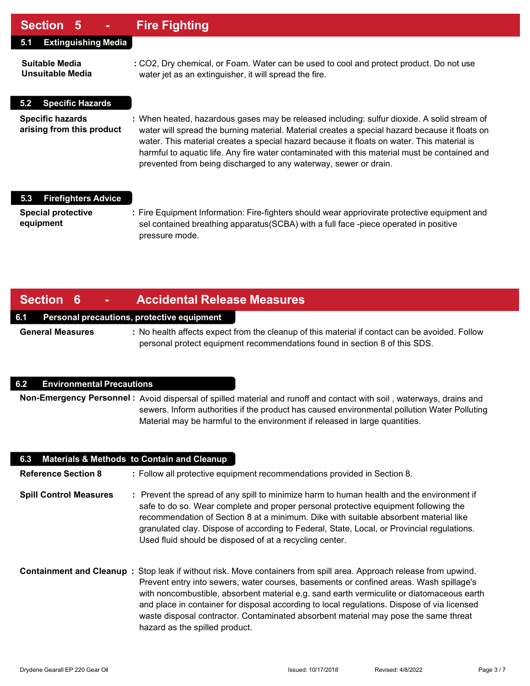## **Section 5 - Fire Fighting**

| UUUNUI V                                             |                                                                                                                                                                                                                                                                                                                                                                                                                                                                  |
|------------------------------------------------------|------------------------------------------------------------------------------------------------------------------------------------------------------------------------------------------------------------------------------------------------------------------------------------------------------------------------------------------------------------------------------------------------------------------------------------------------------------------|
| <b>Extinguishing Media</b><br>5.1                    |                                                                                                                                                                                                                                                                                                                                                                                                                                                                  |
| Suitable Media<br><b>Unsuitable Media</b>            | : CO2, Dry chemical, or Foam. Water can be used to cool and protect product. Do not use<br>water jet as an extinguisher, it will spread the fire.                                                                                                                                                                                                                                                                                                                |
| <b>Specific Hazards</b><br>5.2                       |                                                                                                                                                                                                                                                                                                                                                                                                                                                                  |
| <b>Specific hazards</b><br>arising from this product | : When heated, hazardous gases may be released including: sulfur dioxide. A solid stream of<br>water will spread the burning material. Material creates a special hazard because it floats on<br>water. This material creates a special hazard because it floats on water. This material is<br>harmful to aquatic life. Any fire water contaminated with this material must be contained and<br>prevented from being discharged to any waterway, sewer or drain. |
| <b>Firefighters Advice</b><br>5.3                    |                                                                                                                                                                                                                                                                                                                                                                                                                                                                  |
| <b>Special protective</b><br>equipment               | : Fire Equipment Information: Fire-fighters should wear appriovirate protective equipment and<br>sel contained breathing apparatus (SCBA) with a full face -piece operated in positive<br>pressure mode.                                                                                                                                                                                                                                                         |

## **Section 6 - Accidental Release Measures**

#### **6.1 Personal precautions, protective equipment**

**General Measures :** No health affects expect from the cleanup of this material if contact can be avoided. Follow personal protect equipment recommendations found in section 8 of this SDS.

#### **6.2 Environmental Precautions**

**Non-Emergency Personnel :** Avoid dispersal of spilled material and runoff and contact with soil , waterways, drains and sewers. Inform authorities if the product has caused environmental pollution Water Polluting Material may be harmful to the environment if released in large quantities.

| 6.3 Materials & Methods to Contain and Cleanup |                                                                                                                                                                                                                                                                                                                                                                                                                                                                                                                                   |
|------------------------------------------------|-----------------------------------------------------------------------------------------------------------------------------------------------------------------------------------------------------------------------------------------------------------------------------------------------------------------------------------------------------------------------------------------------------------------------------------------------------------------------------------------------------------------------------------|
| <b>Reference Section 8</b>                     | : Follow all protective equipment recommendations provided in Section 8.                                                                                                                                                                                                                                                                                                                                                                                                                                                          |
| <b>Spill Control Measures</b>                  | : Prevent the spread of any spill to minimize harm to human health and the environment if<br>safe to do so. Wear complete and proper personal protective equipment following the<br>recommendation of Section 8 at a minimum. Dike with suitable absorbent material like<br>granulated clay. Dispose of according to Federal, State, Local, or Provincial regulations.<br>Used fluid should be disposed of at a recycling center.                                                                                                 |
|                                                | Containment and Cleanup: Stop leak if without risk. Move containers from spill area. Approach release from upwind.<br>Prevent entry into sewers, water courses, basements or confined areas. Wash spillage's<br>with noncombustible, absorbent material e.g. sand earth vermiculite or diatomaceous earth<br>and place in container for disposal according to local regulations. Dispose of via licensed<br>waste disposal contractor. Contaminated absorbent material may pose the same threat<br>hazard as the spilled product. |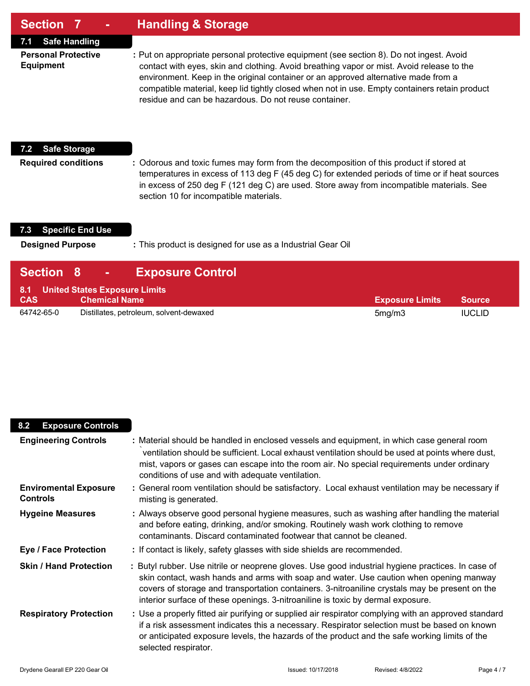| <b>Section 7</b> | <b>Handling &amp; Storage</b> |
|------------------|-------------------------------|
|------------------|-------------------------------|

**7.1 Safe Handling**

**Personal Protective :** Put on appropriate personal protective equipment (see section 8). Do not ingest. Avoid **Equipment** contact with eyes, skin and clothing. Avoid breathing vapor or mist. Avoid release to the environment. Keep in the original container or an approved alternative made from a compatible material, keep lid tightly closed when not in use. Empty containers retain product residue and can be hazardous. Do not reuse container.

#### **7.2 Safe Storage**

**Required conditions :** Odorous and toxic fumes may form from the decomposition of this product if stored at temperatures in excess of 113 deg F (45 deg C) for extended periods of time or if heat sources in excess of 250 deg F (121 deg C) are used. Store away from incompatible materials. See section 10 for incompatible materials.

#### **7.3 Specific End Use**

**Designed Purpose :** This product is designed for use as a Industrial Gear Oil

| <b>Section 8</b> | <b>Exposure Control</b><br>$\mathbf{m} \in \mathbb{R}^n$  |                        |               |
|------------------|-----------------------------------------------------------|------------------------|---------------|
| <b>CAS</b>       | 8.1 United States Exposure Limits<br><b>Chemical Name</b> | <b>Exposure Limits</b> | <b>Source</b> |
| 64742-65-0       | Distillates, petroleum, solvent-dewaxed                   | 5mg/m3                 | <b>IUCLID</b> |

| <b>Exposure Controls</b><br>8.2                 |                                                                                                                                                                                                                                                                                                                                                                                  |
|-------------------------------------------------|----------------------------------------------------------------------------------------------------------------------------------------------------------------------------------------------------------------------------------------------------------------------------------------------------------------------------------------------------------------------------------|
| <b>Engineering Controls</b>                     | : Material should be handled in enclosed vessels and equipment, in which case general room<br>ventilation should be sufficient. Local exhaust ventilation should be used at points where dust,<br>mist, vapors or gases can escape into the room air. No special requirements under ordinary<br>conditions of use and with adequate ventilation.                                 |
| <b>Enviromental Exposure</b><br><b>Controls</b> | : General room ventilation should be satisfactory. Local exhaust ventilation may be necessary if<br>misting is generated.                                                                                                                                                                                                                                                        |
| <b>Hygeine Measures</b>                         | : Always observe good personal hygiene measures, such as washing after handling the material<br>and before eating, drinking, and/or smoking. Routinely wash work clothing to remove<br>contaminants. Discard contaminated footwear that cannot be cleaned.                                                                                                                       |
| <b>Eye / Face Protection</b>                    | : If contact is likely, safety glasses with side shields are recommended.                                                                                                                                                                                                                                                                                                        |
| <b>Skin / Hand Protection</b>                   | : Butyl rubber. Use nitrile or neoprene gloves. Use good industrial hygiene practices. In case of<br>skin contact, wash hands and arms with soap and water. Use caution when opening manway<br>covers of storage and transportation containers. 3-nitroaniline crystals may be present on the<br>interior surface of these openings. 3-nitroaniline is toxic by dermal exposure. |
| <b>Respiratory Protection</b>                   | : Use a properly fitted air purifying or supplied air respirator complying with an approved standard<br>if a risk assessment indicates this a necessary. Respirator selection must be based on known<br>or anticipated exposure levels, the hazards of the product and the safe working limits of the<br>selected respirator.                                                    |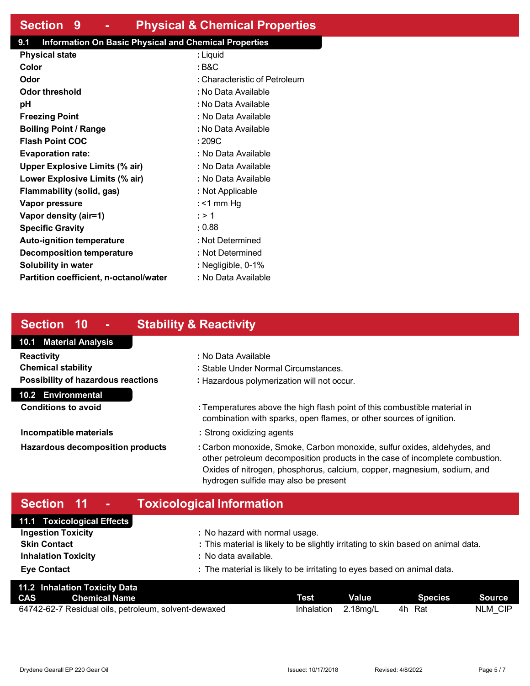## **Section 9 - Physical & Chemical Properties**

### **9.1 Information On Basic Physical and Chemical Properties**

| : Liquid                      |
|-------------------------------|
| : B&C                         |
| : Characteristic of Petroleum |
| : No Data Available           |
| : No Data Available           |
| : No Data Available           |
| : No Data Available           |
| : 209C                        |
| : No Data Available           |
| : No Data Available           |
| : No Data Available           |
| : Not Applicable              |
| : <1 mm Hg                    |
| : > 1                         |
| : 0.88                        |
| : Not Determined              |
| : Not Determined              |
| : Negligible, 0-1%            |
| : No Data Available           |
|                               |

## **Section 10 - Stability & Reactivity**

## **10.1 Material Analysis 10.2 Environmental Reactivity :** No Data Available **Chemical stability :** Stable Under Normal Circumstances. **Possibility of hazardous reactions :** Hazardous polymerization will not occur.

**Conditions to avoid :** Temperatures above the high flash point of this combustible material in combination with sparks, open flames, or other sources of ignition.

- **Incompatible materials :** Strong oxidizing agents
- **Hazardous decomposition products :** Carbon monoxide, Smoke, Carbon monoxide, sulfur oxides, aldehydes, and other petroleum decomposition products in the case of incomplete combustion. Oxides of nitrogen, phosphorus, calcium, copper, magnesium, sodium, and hydrogen sulfide may also be present

## **Section 11 - Toxicological Information**

| 11.1 Toxicological Effects |                                                                                   |
|----------------------------|-----------------------------------------------------------------------------------|
| <b>Ingestion Toxicity</b>  | : No hazard with normal usage.                                                    |
| <b>Skin Contact</b>        | : This material is likely to be slightly irritating to skin based on animal data. |
| <b>Inhalation Toxicity</b> | : No data available.                                                              |
| <b>Eye Contact</b>         | : The material is likely to be irritating to eyes based on animal data.           |
|                            |                                                                                   |

| 11.2 Inhalation Toxicity Data                        |             |          |         |         |
|------------------------------------------------------|-------------|----------|---------|---------|
| <b>CAS</b> Chemical Name                             | <b>Test</b> | Value    | Species | Source  |
| 64742-62-7 Residual oils, petroleum, solvent-dewaxed | Inhalation  | 2.18mg/L | 4h Rat  | NLM CIP |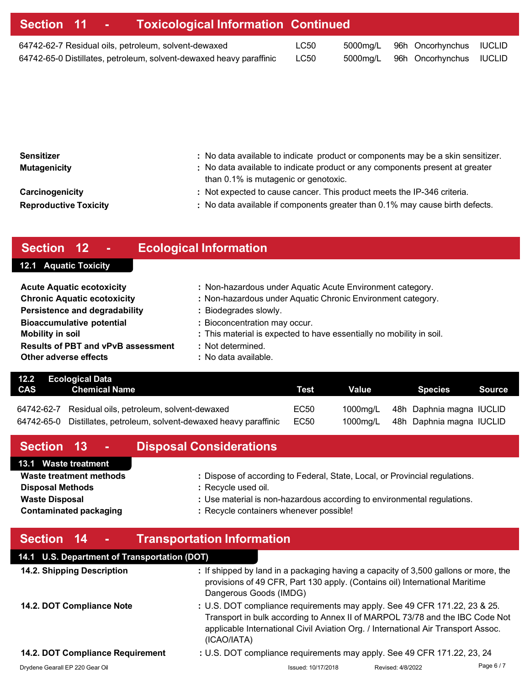| Section 11 - Toxicological Information Continued                    |      |  |                                  |  |
|---------------------------------------------------------------------|------|--|----------------------------------|--|
| 64742-62-7 Residual oils, petroleum, solvent-dewaxed                | LC50 |  | 5000mg/L 96h Oncorhynchus IUCLID |  |
| 64742-65-0 Distillates, petroleum, solvent-dewaxed heavy paraffinic | LC50 |  | 5000mg/L 96h Oncorhynchus IUCLID |  |
|                                                                     |      |  |                                  |  |

| : No data available to indicate product or components may be a skin sensitizer.<br>: No data available to indicate product or any components present at greater |
|-----------------------------------------------------------------------------------------------------------------------------------------------------------------|
| : Not expected to cause cancer. This product meets the IP-346 criteria.<br>: No data available if components greater than 0.1% may cause birth defects.         |
|                                                                                                                                                                 |

# **Section 12 - Ecological Information**

# **12.1 Aquatic Toxicity**

| <b>Acute Aquatic ecotoxicity</b>          | : Non-hazardous under Aquatic Acute Environment category.            |
|-------------------------------------------|----------------------------------------------------------------------|
| <b>Chronic Aquatic ecotoxicity</b>        | : Non-hazardous under Aquatic Chronic Environment category.          |
| <b>Persistence and degradability</b>      | : Biodegrades slowly.                                                |
| <b>Bioaccumulative potential</b>          | : Bioconcentration may occur.                                        |
| <b>Mobility in soil</b>                   | : This material is expected to have essentially no mobility in soil. |
| <b>Results of PBT and vPvB assessment</b> | : Not determined.                                                    |
| Other adverse effects                     | : No data available.                                                 |

|     | 12.2 Ecological Data                                                |      |       |                                   |        |
|-----|---------------------------------------------------------------------|------|-------|-----------------------------------|--------|
| CAS | Chemical Name                                                       | Test | Value | Species                           | Source |
|     |                                                                     |      |       |                                   |        |
|     | 64742-62-7 Residual oils, petroleum, solvent-dewaxed                | EC50 |       | 1000mg/L 48h Daphnia magna IUCLID |        |
|     | 64742-65-0 Distillates, petroleum, solvent-dewaxed heavy paraffinic | EC50 |       | 1000mg/L 48h Daphnia magna IUCLID |        |

| Section 13 -                                                                                                 | <b>Disposal Considerations</b>                                                                                                                                                                                           |
|--------------------------------------------------------------------------------------------------------------|--------------------------------------------------------------------------------------------------------------------------------------------------------------------------------------------------------------------------|
| 13.1 Waste treatment                                                                                         |                                                                                                                                                                                                                          |
| Waste treatment methods<br><b>Disposal Methods</b><br><b>Waste Disposal</b><br><b>Contaminated packaging</b> | : Dispose of according to Federal, State, Local, or Provincial regulations.<br>: Recycle used oil.<br>: Use material is non-hazardous according to environmental regulations.<br>: Recycle containers whenever possible! |
| Section 14 -                                                                                                 | <b>Transportation Information</b>                                                                                                                                                                                        |
| 14.1 U.S. Department of Transportation (DOT)                                                                 |                                                                                                                                                                                                                          |
| 11.2. Chinning Docerintian                                                                                   | $\cdot$ If chinned by land in a packaging boying a capacity of 3.500 gallens or more the                                                                                                                                 |

| 14.2. Shipping Description       | : If shipped by land in a packaging having a capacity of 3,500 gallons or more, the<br>provisions of 49 CFR, Part 130 apply. (Contains oil) International Maritime<br>Dangerous Goods (IMDG)                                                                  |
|----------------------------------|---------------------------------------------------------------------------------------------------------------------------------------------------------------------------------------------------------------------------------------------------------------|
| 14.2. DOT Compliance Note        | : U.S. DOT compliance requirements may apply. See 49 CFR 171.22, 23 & 25.<br>Transport in bulk according to Annex II of MARPOL 73/78 and the IBC Code Not<br>applicable International Civil Aviation Org. / International Air Transport Assoc.<br>(ICAO/IATA) |
| 14.2. DOT Compliance Requirement | : U.S. DOT compliance requirements may apply. See 49 CFR 171.22, 23, 24                                                                                                                                                                                       |